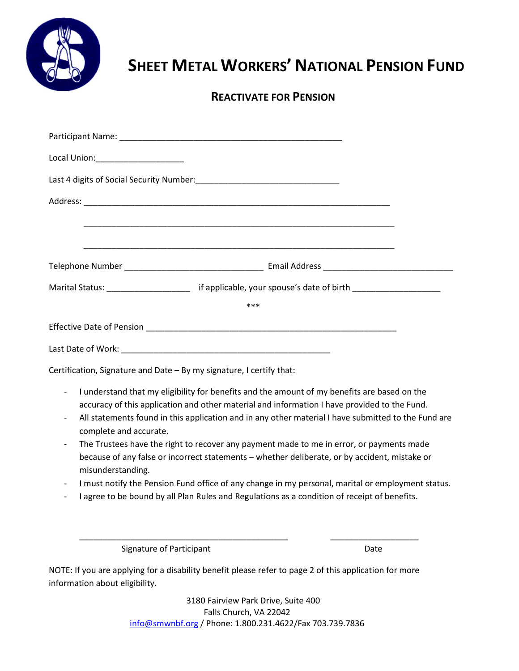

## **SHEET METAL WORKERS' NATIONAL PENSION FUND**

## **REACTIVATE FOR PENSION**

|                                                                                                                                                                                                                                                                                                                                                           | ***                                                                                                                                                                                               |      |  |  |  |  |
|-----------------------------------------------------------------------------------------------------------------------------------------------------------------------------------------------------------------------------------------------------------------------------------------------------------------------------------------------------------|---------------------------------------------------------------------------------------------------------------------------------------------------------------------------------------------------|------|--|--|--|--|
|                                                                                                                                                                                                                                                                                                                                                           |                                                                                                                                                                                                   |      |  |  |  |  |
|                                                                                                                                                                                                                                                                                                                                                           |                                                                                                                                                                                                   |      |  |  |  |  |
| Certification, Signature and Date - By my signature, I certify that:                                                                                                                                                                                                                                                                                      |                                                                                                                                                                                                   |      |  |  |  |  |
| I understand that my eligibility for benefits and the amount of my benefits are based on the<br>$\overline{\phantom{a}}$<br>accuracy of this application and other material and information I have provided to the Fund.<br>All statements found in this application and in any other material I have submitted to the Fund are<br>complete and accurate. |                                                                                                                                                                                                   |      |  |  |  |  |
| The Trustees have the right to recover any payment made to me in error, or payments made<br>because of any false or incorrect statements - whether deliberate, or by accident, mistake or<br>misunderstanding.                                                                                                                                            |                                                                                                                                                                                                   |      |  |  |  |  |
| $\qquad \qquad \blacksquare$                                                                                                                                                                                                                                                                                                                              | I must notify the Pension Fund office of any change in my personal, marital or employment status.<br>I agree to be bound by all Plan Rules and Regulations as a condition of receipt of benefits. |      |  |  |  |  |
| <b>Signature of Participant</b>                                                                                                                                                                                                                                                                                                                           |                                                                                                                                                                                                   | Date |  |  |  |  |
| information about eligibility.                                                                                                                                                                                                                                                                                                                            | NOTE: If you are applying for a disability benefit please refer to page 2 of this application for more                                                                                            |      |  |  |  |  |

3180 Fairview Park Drive, Suite 400 Falls Church, VA 22042 [info@smwnbf.org](mailto:info@smwnbf.org) / Phone: 1.800.231.4622/Fax 703.739.7836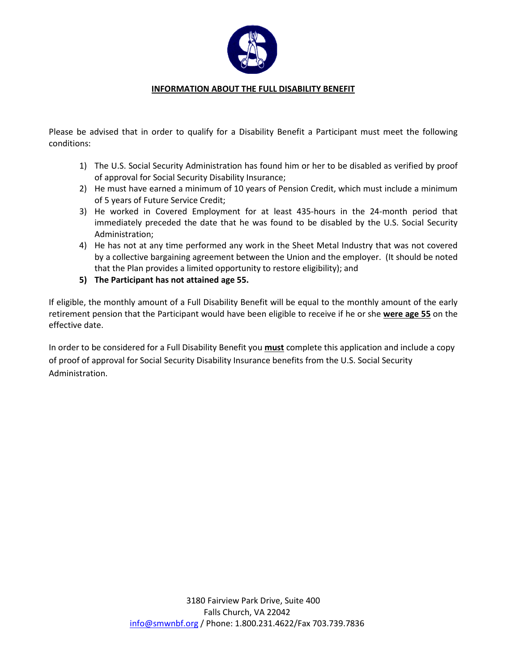

## **INFORMATION ABOUT THE FULL DISABILITY BENEFIT**

Please be advised that in order to qualify for a Disability Benefit a Participant must meet the following conditions:

- 1) The U.S. Social Security Administration has found him or her to be disabled as verified by proof of approval for Social Security Disability Insurance;
- 2) He must have earned a minimum of 10 years of Pension Credit, which must include a minimum of 5 years of Future Service Credit;
- 3) He worked in Covered Employment for at least 435-hours in the 24-month period that immediately preceded the date that he was found to be disabled by the U.S. Social Security Administration;
- 4) He has not at any time performed any work in the Sheet Metal Industry that was not covered by a collective bargaining agreement between the Union and the employer. (It should be noted that the Plan provides a limited opportunity to restore eligibility); and
- **5) The Participant has not attained age 55.**

If eligible, the monthly amount of a Full Disability Benefit will be equal to the monthly amount of the early retirement pension that the Participant would have been eligible to receive if he or she **were age 55** on the effective date.

In order to be considered for a Full Disability Benefit you **must** complete this application and include a copy of proof of approval for Social Security Disability Insurance benefits from the U.S. Social Security Administration.